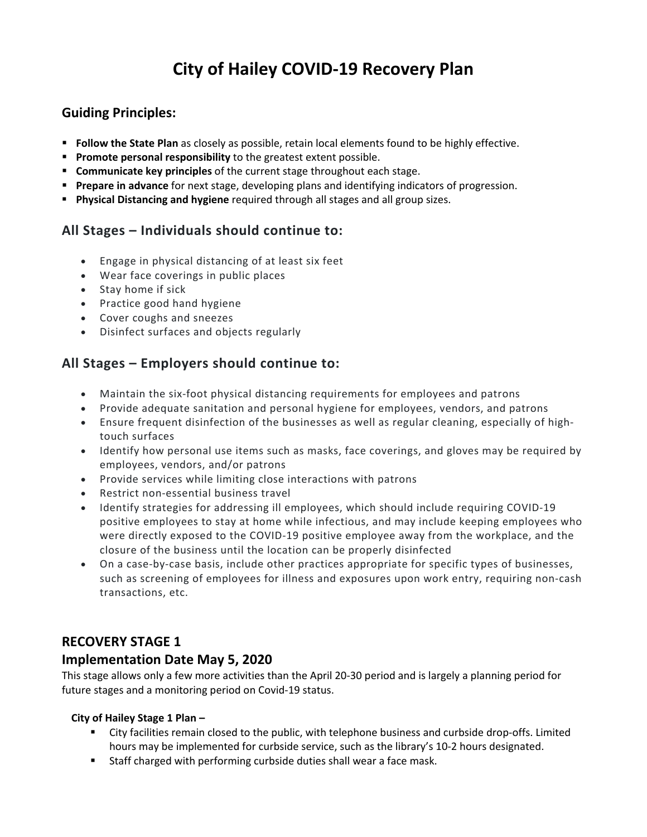# **City of Hailey COVID-19 Recovery Plan**

## **Guiding Principles:**

- **Follow the State Plan** as closely as possible, retain local elements found to be highly effective.
- **Promote personal responsibility** to the greatest extent possible.
- **Communicate key principles** of the current stage throughout each stage.
- **Prepare in advance** for next stage, developing plans and identifying indicators of progression.
- **Physical Distancing and hygiene** required through all stages and all group sizes.

# **All Stages – Individuals should continue to:**

- Engage in physical distancing of at least six feet
- Wear face coverings in public places
- Stay home if sick
- Practice good hand hygiene
- Cover coughs and sneezes
- Disinfect surfaces and objects regularly

# **All Stages – Employers should continue to:**

- Maintain the six-foot physical distancing requirements for employees and patrons
- Provide adequate sanitation and personal hygiene for employees, vendors, and patrons
- Ensure frequent disinfection of the businesses as well as regular cleaning, especially of hightouch surfaces
- Identify how personal use items such as masks, face coverings, and gloves may be required by employees, vendors, and/or patrons
- Provide services while limiting close interactions with patrons
- Restrict non-essential business travel
- Identify strategies for addressing ill employees, which should include requiring COVID-19 positive employees to stay at home while infectious, and may include keeping employees who were directly exposed to the COVID-19 positive employee away from the workplace, and the closure of the business until the location can be properly disinfected
- On a case-by-case basis, include other practices appropriate for specific types of businesses, such as screening of employees for illness and exposures upon work entry, requiring non-cash transactions, etc.

# **RECOVERY STAGE 1**

## **Implementation Date May 5, 2020**

This stage allows only a few more activities than the April 20-30 period and is largely a planning period for future stages and a monitoring period on Covid-19 status.

#### **City of Hailey Stage 1 Plan –**

- City facilities remain closed to the public, with telephone business and curbside drop-offs. Limited hours may be implemented for curbside service, such as the library's 10-2 hours designated.
- **Staff charged with performing curbside duties shall wear a face mask.**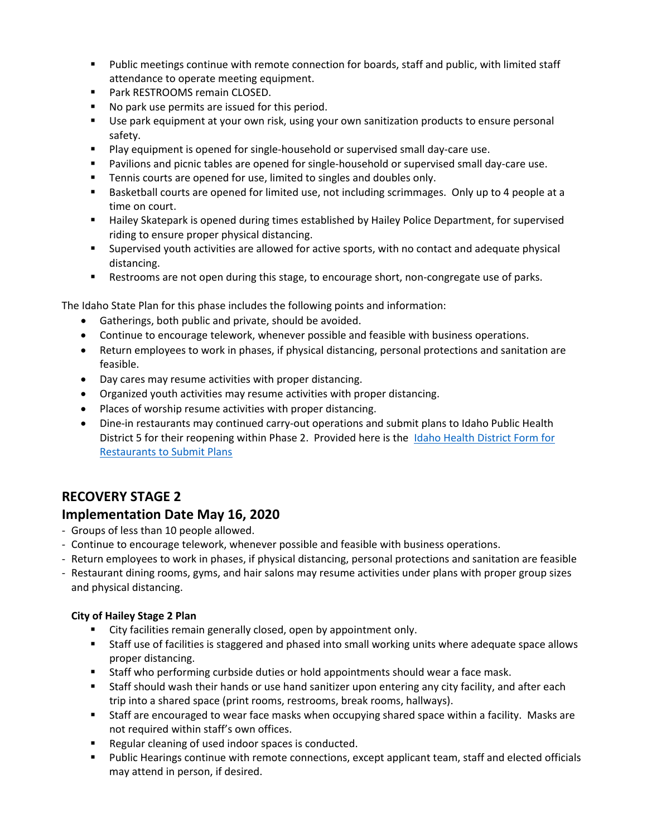- Public meetings continue with remote connection for boards, staff and public, with limited staff attendance to operate meeting equipment.
- **Park RESTROOMS remain CLOSED.**
- No park use permits are issued for this period.
- Use park equipment at your own risk, using your own sanitization products to ensure personal safety.
- Play equipment is opened for single-household or supervised small day-care use.
- Pavilions and picnic tables are opened for single-household or supervised small day-care use.
- Tennis courts are opened for use, limited to singles and doubles only.
- **Basketball courts are opened for limited use, not including scrimmages. Only up to 4 people at a** time on court.
- Hailey Skatepark is opened during times established by Hailey Police Department, for supervised riding to ensure proper physical distancing.
- Supervised youth activities are allowed for active sports, with no contact and adequate physical distancing.
- **Restrooms are not open during this stage, to encourage short, non-congregate use of parks.**

The Idaho State Plan for this phase includes the following points and information:

- Gatherings, both public and private, should be avoided.
- Continue to encourage telework, whenever possible and feasible with business operations.
- Return employees to work in phases, if physical distancing, personal protections and sanitation are feasible.
- Day cares may resume activities with proper distancing.
- Organized youth activities may resume activities with proper distancing.
- Places of worship resume activities with proper distancing.
- Dine-in restaurants may continued carry-out operations and submit plans to Idaho Public Health District 5 for their reopening within Phase 2. Provided here is the [Idaho Health District Form for](file://hserver/finance/Working/Heather/Idaho%20Health%20District%20Form%20for%20Restaurants%20to%20Submit%20Plans)  [Restaurants to Submit Plans](file://hserver/finance/Working/Heather/Idaho%20Health%20District%20Form%20for%20Restaurants%20to%20Submit%20Plans)

# **RECOVERY STAGE 2**

## **Implementation Date May 16, 2020**

- Groups of less than 10 people allowed.
- Continue to encourage telework, whenever possible and feasible with business operations.
- Return employees to work in phases, if physical distancing, personal protections and sanitation are feasible
- Restaurant dining rooms, gyms, and hair salons may resume activities under plans with proper group sizes and physical distancing.

#### **City of Hailey Stage 2 Plan**

- **EXECT** City facilities remain generally closed, open by appointment only.
- Staff use of facilities is staggered and phased into small working units where adequate space allows proper distancing.
- Staff who performing curbside duties or hold appointments should wear a face mask.
- Staff should wash their hands or use hand sanitizer upon entering any city facility, and after each trip into a shared space (print rooms, restrooms, break rooms, hallways).
- Staff are encouraged to wear face masks when occupying shared space within a facility. Masks are not required within staff's own offices.
- Regular cleaning of used indoor spaces is conducted.
- **Public Hearings continue with remote connections, except applicant team, staff and elected officials** may attend in person, if desired.